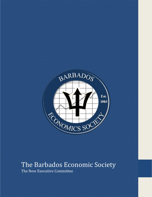

## The Barbados Economic Society

The New Executive Committee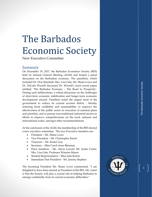## The Barbados Economic Society

New Executive Committee

## Summary

On December 19, 2017, the Barbados Economics Society (BES) held its Annual General Meeting (AGM) and hosted a panel discussion on the Barbadian economy. The panel lists, which included Dr. Don Marshall, Mrs. Lisa Gale, Mr. Shane Lowe and Dr. DeLisle Worrell discussed Dr. Worrell's most recent paper entitled, 'The Barbados Economy – The Road to Prosperity'. During such deliberations, a robust discussion on the challenges of short -term economic stabilization and longer -term economic development ensued. Panellists noted the urgent need of the government to reduce its current account deficit - thereby restoring fiscal credibility and sustainability, to improve the effectiveness of the public sector in execution of national plans and priorities, and to pursue non - traditional industrial sectors in efforts to improve competitiveness on the local, national and international scales, amongst other recommendations.

At the conclusion of the AGM, the membership of the BES elected a new executive committee. The new Executive members are:

- President Mr. Shane Lowe
- Vice-President Mr. Christopher Kinch
- Treasurer Mr. Kester Guy
- Secretary Miss Carol-Anne Blenman
- Floor members Ms. Alexis Lescott, Mr. Justin Carter, Mrs. Lisa Gale, Professor Winston Moore
- Student Representative Miss Jade Kirton
- Immediate Past President Mr. Jeremy Stephen

The Incoming President Mr. Shane Lowe commented, "I am delighted to have been elected as President of the BES. My vision is that the Society will play a crucial role in helping Barbados to emerge confidently from its current economic difficulties."